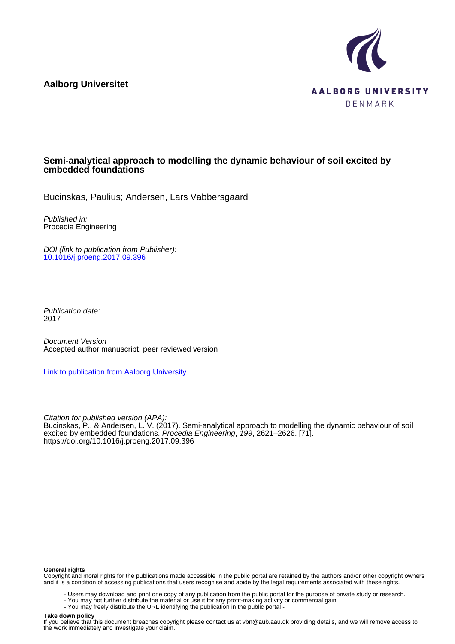**Aalborg Universitet**



# **Semi-analytical approach to modelling the dynamic behaviour of soil excited by embedded foundations**

Bucinskas, Paulius; Andersen, Lars Vabbersgaard

Published in: Procedia Engineering

DOI (link to publication from Publisher): [10.1016/j.proeng.2017.09.396](https://doi.org/10.1016/j.proeng.2017.09.396)

Publication date: 2017

Document Version Accepted author manuscript, peer reviewed version

[Link to publication from Aalborg University](https://vbn.aau.dk/en/publications/3534d888-1a44-450a-a0ec-0112ee9e1bfc)

Citation for published version (APA): Bucinskas, P., & Andersen, L. V. (2017). Semi-analytical approach to modelling the dynamic behaviour of soil excited by embedded foundations. Procedia Engineering, 199, 2621–2626. [71]. <https://doi.org/10.1016/j.proeng.2017.09.396>

#### **General rights**

Copyright and moral rights for the publications made accessible in the public portal are retained by the authors and/or other copyright owners and it is a condition of accessing publications that users recognise and abide by the legal requirements associated with these rights.

- Users may download and print one copy of any publication from the public portal for the purpose of private study or research.
- You may not further distribute the material or use it for any profit-making activity or commercial gain
- You may freely distribute the URL identifying the publication in the public portal -

#### **Take down policy**

If you believe that this document breaches copyright please contact us at vbn@aub.aau.dk providing details, and we will remove access to the work immediately and investigate your claim.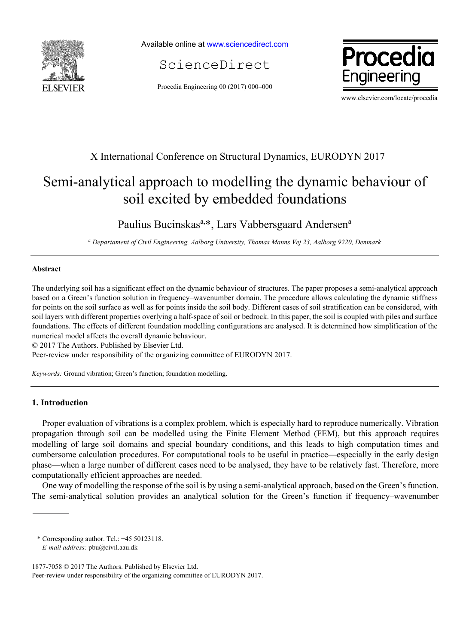

Available online at www.sciencedirect.com

ScienceDirect

Procedia Engineering 00 (2017) 000–000



www.elsevier.com/locate/procedia

# X International Conference on Structural Dynamics, EURODYN 2017

# Semi-analytical approach to modelling the dynamic behaviour of soil excited by embedded foundations

Paulius Bucinskas<sup>a,\*</sup>, Lars Vabbersgaard Andersen<sup>a</sup>

*a Departament of Civil Engineering, Aalborg University, Thomas Manns Vej 23, Aalborg 9220, Denmark* 

# **Abstract**

The underlying soil has a significant effect on the dynamic behaviour of structures. The paper proposes a semi-analytical approach based on a Green's function solution in frequency–wavenumber domain. The procedure allows calculating the dynamic stiffness for points on the soil surface as well as for points inside the soil body. Different cases of soil stratification can be considered, with soil layers with different properties overlying a half-space of soil or bedrock. In this paper, the soil is coupled with piles and surface foundations. The effects of different foundation modelling configurations are analysed. It is determined how simplification of the numerical model affects the overall dynamic behaviour.

© 2017 The Authors. Published by Elsevier Ltd.

Peer-review under responsibility of the organizing committee of EURODYN 2017.

*Keywords:* Ground vibration; Green's function; foundation modelling.

## **1. Introduction**

Proper evaluation of vibrations is a complex problem, which is especially hard to reproduce numerically. Vibration propagation through soil can be modelled using the Finite Element Method (FEM), but this approach requires modelling of large soil domains and special boundary conditions, and this leads to high computation times and cumbersome calculation procedures. For computational tools to be useful in practice—especially in the early design phase—when a large number of different cases need to be analysed, they have to be relatively fast. Therefore, more computationally efficient approaches are needed.

One way of modelling the response of the soil is by using a semi-analytical approach, based on the Green's function. The semi-analytical solution provides an analytical solution for the Green's function if frequency–wavenumber

<sup>\*</sup> Corresponding author. Tel.: +45 50123118.

*E-mail address:* pbu@civil.aau.dk

<sup>1877-7058 © 2017</sup> The Authors. Published by Elsevier Ltd. Peer-review under responsibility of the organizing committee of EURODYN 2017.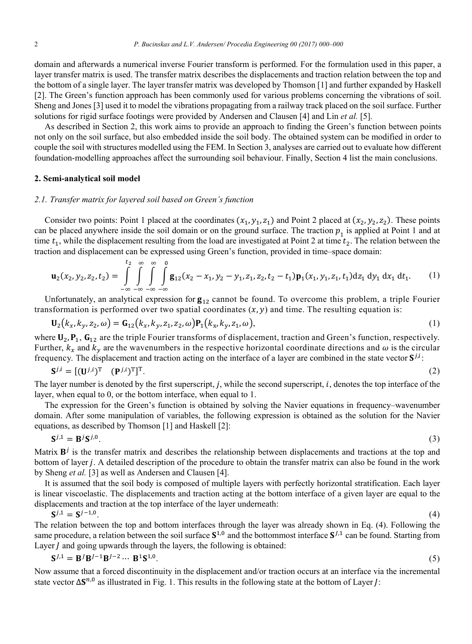domain and afterwards a numerical inverse Fourier transform is performed. For the formulation used in this paper, a layer transfer matrix is used. The transfer matrix describes the displacements and traction relation between the top and the bottom of a single layer. The layer transfer matrix was developed by Thomson [1] and further expanded by Haskell [2]. The Green's function approach has been commonly used for various problems concerning the vibrations of soil. Sheng and Jones [3] used it to model the vibrations propagating from a railway track placed on the soil surface. Further solutions for rigid surface footings were provided by Andersen and Clausen [4] and Lin *et al.* [5].

As described in Section 2, this work aims to provide an approach to finding the Green's function between points not only on the soil surface, but also embedded inside the soil body. The obtained system can be modified in order to couple the soil with structures modelled using the FEM. In Section 3, analyses are carried out to evaluate how different foundation-modelling approaches affect the surrounding soil behaviour. Finally, Section 4 list the main conclusions.

#### **2. Semi-analytical soil model**

#### *2.1. Transfer matrix for layered soil based on Green's function*

Consider two points: Point 1 placed at the coordinates  $(x_1, y_1, z_1)$  and Point 2 placed at  $(x_2, y_2, z_2)$ . These points can be placed anywhere inside the soil domain or on the ground surface. The traction  $p_1$  is applied at Point 1 and at time  $t_1$ , while the displacement resulting from the load are investigated at Point 2 at time  $t_2$ . The relation between the traction and displacement can be expressed using Green's function, provided in time–space domain:

$$
\mathbf{u}_2(x_2, y_2, z_2, t_2) = \int_{-\infty}^{t_2} \int_{-\infty}^{\infty} \int_{-\infty}^{\infty} \int_{-\infty}^{\infty} \mathbf{g}_{12}(x_2 - x_1, y_2 - y_1, z_1, z_2, t_2 - t_1) \mathbf{p}_1(x_1, y_1, z_1, t_1) dz_1 dy_1 dx_1 dt_1.
$$
 (1)

Unfortunately, an analytical expression for  $\mathbf{g}_{12}$  cannot be found. To overcome this problem, a triple Fourier transformation is performed over two spatial coordinates  $(x, y)$  and time. The resulting equation is:

$$
\mathbf{U}_2(k_x, k_y, z_2, \omega) = \mathbf{G}_{12}(k_x, k_y, z_1, z_2, \omega) \mathbf{P}_1(k_x, k_y, z_1, \omega),
$$
\n(1)

where  $U_2$ ,  $P_1$ ,  $G_{12}$  are the triple Fourier transforms of displacement, traction and Green's function, respectively. Further,  $k_x$  and  $k_y$  are the wavenumbers in the respective horizontal coordinate directions and  $\omega$  is the circular frequency. The displacement and traction acting on the interface of a layer are combined in the state vector  $S^{j,i}$ .

$$
\mathbf{S}^{j,i} = [(\mathbf{U}^{j,i})^{\mathrm{T}} \quad (\mathbf{P}^{j,i})^{\mathrm{T}}]^{\mathrm{T}}.
$$

The layer number is denoted by the first superscript,  $j$ , while the second superscript,  $i$ , denotes the top interface of the layer, when equal to 0, or the bottom interface, when equal to 1.

The expression for the Green's function is obtained by solving the Navier equations in frequency–wavenumber domain. After some manipulation of variables, the following expression is obtained as the solution for the Navier equations, as described by Thomson [1] and Haskell [2]:

$$
\mathbf{S}^{j,1} = \mathbf{B}^j \mathbf{S}^{j,0}.\tag{3}
$$

Matrix  $B^j$  is the transfer matrix and describes the relationship between displacements and tractions at the top and bottom of layer *j*. A detailed description of the procedure to obtain the transfer matrix can also be found in the work by Sheng *et al.* [3] as well as Andersen and Clausen [4].

It is assumed that the soil body is composed of multiple layers with perfectly horizontal stratification. Each layer is linear viscoelastic. The displacements and traction acting at the bottom interface of a given layer are equal to the displacements and traction at the top interface of the layer underneath:

$$
S^{j,1} = S^{j-1,0}.\tag{4}
$$

The relation between the top and bottom interfaces through the layer was already shown in Eq. (4). Following the same procedure, a relation between the soil surface  $S^{1,0}$  and the bottommost interface  $S^{1,1}$  can be found. Starting from Layer  $J$  and going upwards through the layers, the following is obtained:

$$
S^{J,1} = B^{J}B^{J-1}B^{J-2} \cdots B^{1}S^{1,0}.
$$
 (5)

Now assume that a forced discontinuity in the displacement and/or traction occurs at an interface via the incremental state vector  $\Delta S^{n,0}$  as illustrated in Fig. 1. This results in the following state at the bottom of Layer *J*: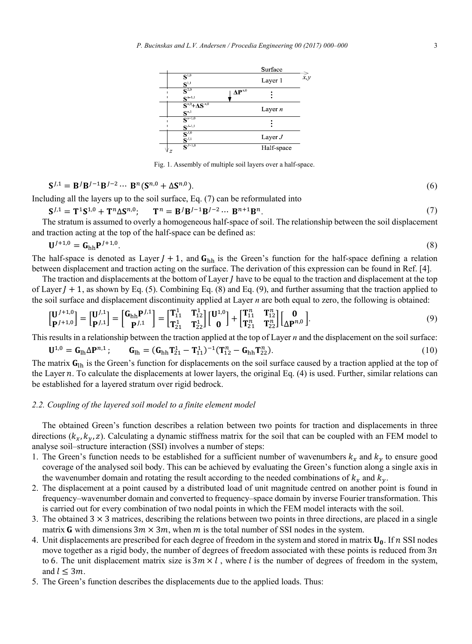

Fig. 1. Assembly of multiple soil layers over a half-space.

$$
\mathbf{S}^{J,1} = \mathbf{B}^J \mathbf{B}^{J-1} \mathbf{B}^{J-2} \cdots \mathbf{B}^n (\mathbf{S}^{n,0} + \Delta \mathbf{S}^{n,0}).
$$
\n
$$
\tag{6}
$$

Including all the layers up to the soil surface, Eq. (7) can be reformulated into

$$
S^{J,1} = T^1 S^{1,0} + T^n \Delta S^{n,0}; \qquad T^n = B^J B^{J-1} B^{J-2} \cdots B^{n+1} B^n. \tag{7}
$$

The stratum is assumed to overly a homogeneous half-space of soil. The relationship between the soil displacement and traction acting at the top of the half-space can be defined as:

$$
\mathbf{U}^{J+1,0} = \mathbf{G}_{\mathrm{hh}} \mathbf{P}^{J+1,0}.\tag{8}
$$

The half-space is denoted as Layer  $J + 1$ , and  $G_{hh}$  is the Green's function for the half-space defining a relation between displacement and traction acting on the surface. The derivation of this expression can be found in Ref. [4].

The traction and displacements at the bottom of Layer  *have to be equal to the traction and displacement at the top* of Layer  $J + 1$ , as shown by Eq. (5). Combining Eq. (8) and Eq. (9), and further assuming that the traction applied to the soil surface and displacement discontinuity applied at Layer *n* are both equal to zero, the following is obtained:

$$
\begin{bmatrix} \mathbf{U}^{J+1,0} \\ \mathbf{p}^{J+1,0} \end{bmatrix} = \begin{bmatrix} \mathbf{U}^{J,1} \\ \mathbf{p}^{J,1} \end{bmatrix} = \begin{bmatrix} \mathbf{G}_{\text{hh}} \mathbf{P}^{J,1} \\ \mathbf{p}^{J,1} \end{bmatrix} = \begin{bmatrix} \mathbf{T}_{11}^{1} & \mathbf{T}_{12}^{1} \\ \mathbf{T}_{21}^{1} & \mathbf{T}_{22}^{1} \end{bmatrix} \begin{bmatrix} \mathbf{U}^{1,0} \\ \mathbf{0} \end{bmatrix} + \begin{bmatrix} \mathbf{T}_{11}^{n} & \mathbf{T}_{12}^{n} \\ \mathbf{T}_{21}^{n} & \mathbf{T}_{22}^{n} \end{bmatrix} \begin{bmatrix} \mathbf{0} \\ \Delta \mathbf{P}^{n,0} \end{bmatrix} . \tag{9}
$$

This results in a relationship between the traction applied at the top of Layer *n* and the displacement on the soil surface:

$$
\mathbf{U}^{1,0} = \mathbf{G}_{\text{lh}} \Delta \mathbf{P}^{n,1}; \qquad \mathbf{G}_{\text{lh}} = (\mathbf{G}_{\text{hh}} \mathbf{T}_{21}^1 - \mathbf{T}_{11}^1)^{-1} (\mathbf{T}_{12}^n - \mathbf{G}_{\text{hh}} \mathbf{T}_{22}^n). \tag{10}
$$

The matrix  $G_{lh}$  is the Green's function for displacements on the soil surface caused by a traction applied at the top of the Layer  $n$ . To calculate the displacements at lower layers, the original Eq. (4) is used. Further, similar relations can be established for a layered stratum over rigid bedrock.

#### *2.2. Coupling of the layered soil model to a finite element model*

The obtained Green's function describes a relation between two points for traction and displacements in three directions  $(k_x, k_y, z)$ . Calculating a dynamic stiffness matrix for the soil that can be coupled with an FEM model to analyse soil–structure interaction (SSI) involves a number of steps:

- 1. The Green's function needs to be established for a sufficient number of wavenumbers  $k_x$  and  $k_y$  to ensure good coverage of the analysed soil body. This can be achieved by evaluating the Green's function along a single axis in the wavenumber domain and rotating the result according to the needed combinations of  $k_x$  and  $k_y$ .
- 2. The displacement at a point caused by a distributed load of unit magnitude centred on another point is found in frequency–wavenumber domain and converted to frequency–space domain by inverse Fourier transformation. This is carried out for every combination of two nodal points in which the FEM model interacts with the soil.
- 3. The obtained  $3 \times 3$  matrices, describing the relations between two points in three directions, are placed in a single matrix **G** with dimensions  $3m \times 3m$ , when m is the total number of SSI nodes in the system.
- 4. Unit displacements are prescribed for each degree of freedom in the system and stored in matrix  $U_0$ . If n SSI nodes move together as a rigid body, the number of degrees of freedom associated with these points is reduced from  $3n$ to 6. The unit displacement matrix size is  $3m \times l$ , where l is the number of degrees of freedom in the system, and  $l \leq 3m$ .
- 5. The Green's function describes the displacements due to the applied loads. Thus: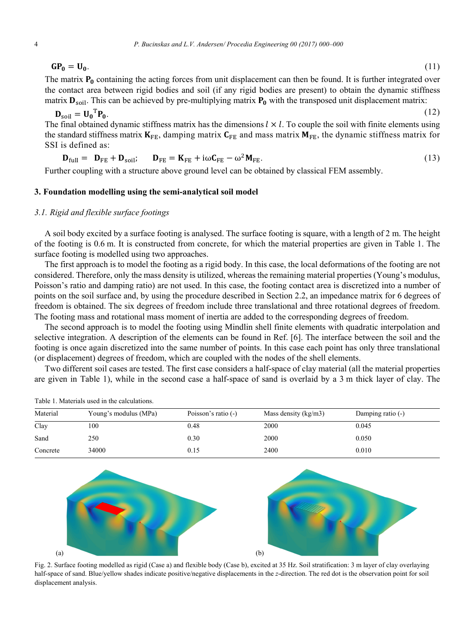$GP_0 = U_0$ . (11)

$$
(11)
$$

The matrix  $P_0$  containing the acting forces from unit displacement can then be found. It is further integrated over the contact area between rigid bodies and soil (if any rigid bodies are present) to obtain the dynamic stiffness matrix  $\mathbf{D}_{\text{soil}}$ . This can be achieved by pre-multiplying matrix  $\mathbf{P}_{\text{o}}$  with the transposed unit displacement matrix:

$$
\mathbf{D}_{\text{soil}} = \mathbf{U_0}^{\text{T}} \mathbf{P_0}.
$$
 (12)

The final obtained dynamic stiffness matrix has the dimensions  $l \times l$ . To couple the soil with finite elements using the standard stiffness matrix  $K_{FE}$ , damping matrix  $C_{FE}$  and mass matrix  $M_{FE}$ , the dynamic stiffness matrix for SSI is defined as:

$$
\mathbf{D}_{\text{full}} = \mathbf{D}_{\text{FE}} + \mathbf{D}_{\text{soil}}; \qquad \mathbf{D}_{\text{FE}} = \mathbf{K}_{\text{FE}} + i\omega \mathbf{C}_{\text{FE}} - \omega^2 \mathbf{M}_{\text{FE}}.
$$
 (13)

Further coupling with a structure above ground level can be obtained by classical FEM assembly.

## **3. Foundation modelling using the semi-analytical soil model**

### *3.1. Rigid and flexible surface footings*

A soil body excited by a surface footing is analysed. The surface footing is square, with a length of 2 m. The height of the footing is 0.6 m. It is constructed from concrete, for which the material properties are given in Table 1. The surface footing is modelled using two approaches.

The first approach is to model the footing as a rigid body. In this case, the local deformations of the footing are not considered. Therefore, only the mass density is utilized, whereas the remaining material properties (Young's modulus, Poisson's ratio and damping ratio) are not used. In this case, the footing contact area is discretized into a number of points on the soil surface and, by using the procedure described in Section 2.2, an impedance matrix for 6 degrees of freedom is obtained. The six degrees of freedom include three translational and three rotational degrees of freedom. The footing mass and rotational mass moment of inertia are added to the corresponding degrees of freedom.

The second approach is to model the footing using Mindlin shell finite elements with quadratic interpolation and selective integration. A description of the elements can be found in Ref. [6]. The interface between the soil and the footing is once again discretized into the same number of points. In this case each point has only three translational (or displacement) degrees of freedom, which are coupled with the nodes of the shell elements.

Two different soil cases are tested. The first case considers a half-space of clay material (all the material properties are given in Table 1), while in the second case a half-space of sand is overlaid by a 3 m thick layer of clay. The

| Material | Young's modulus (MPa) | Poisson's ratio $(-)$ | Mass density $(kg/m3)$ | Damping ratio (-) |
|----------|-----------------------|-----------------------|------------------------|-------------------|
| Clay     | 100                   | 0.48                  | 2000                   | 0.045             |
| Sand     | 250                   | 0.30                  | 2000                   | 0.050             |
| Concrete | 34000                 | 0.15                  | 2400                   | 0.010             |

Table 1. Materials used in the calculations.



Fig. 2. Surface footing modelled as rigid (Case a) and flexible body (Case b), excited at 35 Hz. Soil stratification: 3 m layer of clay overlaying half-space of sand. Blue/yellow shades indicate positive/negative displacements in the *z*-direction. The red dot is the observation point for soil displacement analysis.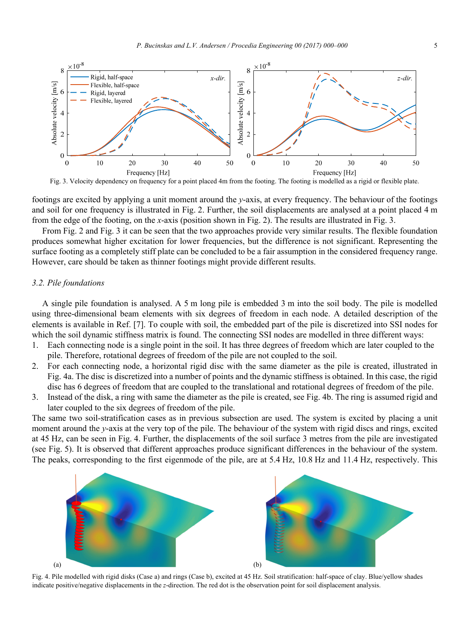

footings are excited by applying a unit moment around the *y*-axis, at every frequency. The behaviour of the footings and soil for one frequency is illustrated in Fig. 2. Further, the soil displacements are analysed at a point placed 4 m from the edge of the footing, on the *x*-axis (position shown in Fig. 2). The results are illustrated in Fig. 3.

From Fig. 2 and Fig. 3 it can be seen that the two approaches provide very similar results. The flexible foundation produces somewhat higher excitation for lower frequencies, but the difference is not significant. Representing the surface footing as a completely stiff plate can be concluded to be a fair assumption in the considered frequency range. However, care should be taken as thinner footings might provide different results.

#### *3.2. Pile foundations*

A single pile foundation is analysed. A 5 m long pile is embedded 3 m into the soil body. The pile is modelled using three-dimensional beam elements with six degrees of freedom in each node. A detailed description of the elements is available in Ref. [7]. To couple with soil, the embedded part of the pile is discretized into SSI nodes for which the soil dynamic stiffness matrix is found. The connecting SSI nodes are modelled in three different ways:

- 1. Each connecting node is a single point in the soil. It has three degrees of freedom which are later coupled to the pile. Therefore, rotational degrees of freedom of the pile are not coupled to the soil.
- 2. For each connecting node, a horizontal rigid disc with the same diameter as the pile is created, illustrated in Fig. 4a. The disc is discretized into a number of points and the dynamic stiffness is obtained. In this case, the rigid disc has 6 degrees of freedom that are coupled to the translational and rotational degrees of freedom of the pile.
- 3. Instead of the disk, a ring with same the diameter as the pile is created, see Fig. 4b. The ring is assumed rigid and later coupled to the six degrees of freedom of the pile.

The same two soil-stratification cases as in previous subsection are used. The system is excited by placing a unit moment around the *y*-axis at the very top of the pile. The behaviour of the system with rigid discs and rings, excited at 45 Hz, can be seen in Fig. 4. Further, the displacements of the soil surface 3 metres from the pile are investigated (see Fig. 5). It is observed that different approaches produce significant differences in the behaviour of the system. The peaks, corresponding to the first eigenmode of the pile, are at 5.4 Hz, 10.8 Hz and 11.4 Hz, respectively. This



Fig. 4. Pile modelled with rigid disks (Case a) and rings (Case b), excited at 45 Hz. Soil stratification: half-space of clay. Blue/yellow shades indicate positive/negative displacements in the *z*-direction. The red dot is the observation point for soil displacement analysis.